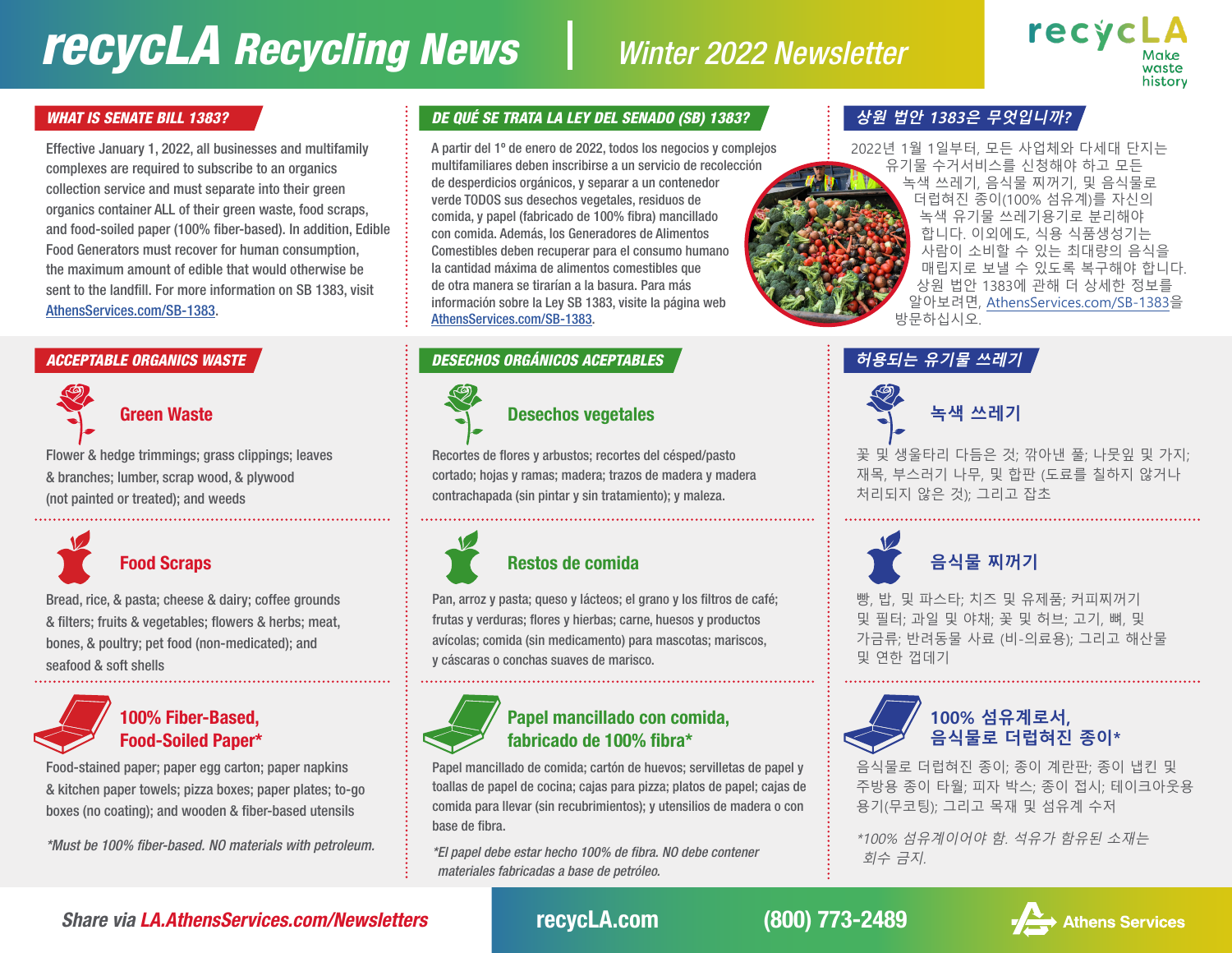# *recycLA Recycling News Winter 2022 Newsletter*



### *WHAT IS SENATE BILL 1383?*

Effective January 1, 2022, all businesses and multifamily complexes are required to subscribe to an organics collection service and must separate into their green organics container ALL of their green waste, food scraps, and food-soiled paper (100% fiber-based). In addition, Edible Food Generators must recover for human consumption, the maximum amount of edible that would otherwise be sent to the landfill. For more information on SB 1383, visit [AthensServices.com/SB-1383](http://AthensServices.com/SB-1383).

### *ACCEPTABLE ORGANICS WASTE*

Flower & hedge trimmings; grass clippings; leaves & branches; lumber, scrap wood, & plywood (not painted or treated); and weeds



Bread, rice, & pasta; cheese & dairy; coffee grounds & filters; fruits & vegetables; flowers & herbs; meat, bones, & poultry; pet food (non-medicated); and seafood & soft shells



### 100% Fiber-Based, Food-Soiled Paper\*

Food-stained paper; paper egg carton; paper napkins & kitchen paper towels; pizza boxes; paper plates; to-go boxes (no coating); and wooden & fiber-based utensils

*\*Must be 100% fiber-based. NO materials with petroleum.*

### *DE QUÉ SE TRATA LA LEY DEL SENADO (SB) 1383?*

A partir del 1º de enero de 2022, todos los negocios y complejos multifamiliares deben inscribirse a un servicio de recolección de desperdicios orgánicos, y separar a un contenedor verde TODOS sus desechos vegetales, residuos de comida, y papel (fabricado de 100% fibra) mancillado con comida. Además, los Generadores de Alimentos Comestibles deben recuperar para el consumo humano la cantidad máxima de alimentos comestibles que de otra manera se tirarían a la basura. Para más información sobre la Ley SB 1383, visite la página web [AthensServices.com/SB-1383.](http://AthensServices.com/SB-1383)

### *DESECHOS ORGÁNICOS ACEPTABLES*



Recortes de flores y arbustos; recortes del césped/pasto cortado; hojas y ramas; madera; trazos de madera y madera contrachapada (sin pintar y sin tratamiento); y maleza.



Pan, arroz y pasta; queso y lácteos; el grano y los filtros de café; frutas y verduras; flores y hierbas; carne, huesos y productos avícolas; comida (sin medicamento) para mascotas; mariscos, y cáscaras o conchas suaves de marisco.



### Papel mancillado con comida, fabricado de 100% fibra\*

Papel mancillado de comida; cartón de huevos; servilletas de papel y toallas de papel de cocina; cajas para pizza; platos de papel; cajas de comida para llevar (sin recubrimientos); y utensilios de madera o con base de fibra.

*\*El papel debe estar hecho 100% de fibra. NO debe contener materiales fabricadas a base de petróleo.*

### **상원 법안 1383은 무엇입니까?**

2022년 1월 1일부터, 모든 사업체와 다세대 단지는 유기물 수거서비스를 신청해야 하고 모든 녹색 쓰레기, 음식물 찌꺼기, 및 음식물로 더럽혀진 종이(100% 섬유계)를 자신의 녹색 유기물 쓰레기용기로 분리해야 합니다. 이외에도, 식용 식품생성기는 사람이 소비할 수 있는 최대량의 음식을 매립지로 보낼 수 있도록 복구해야 합니다. 상원 법안 1383에 관해 더 상세한 정보를 알아보려면, [AthensServices.com/SB-1383을](http://AthensServices.com/SB-1383) 방문하십시오.





꽃 및 생울타리 다듬은 것; 깎아낸 풀; 나뭇잎 및 가지; 재목, 부스러기 나무, 및 합판 (도료를 칠하지 않거나 처리되지 않은 것); 그리고 잡초



빵, 밥, 및 파스타; 치즈 및 유제품; 커피찌꺼기 및 필터; 과일 및 야채; 꽃 및 허브; 고기, 뼈, 및 가금류; 반려동물 사료 (비-의료용); 그리고 해산물 및 연한 껍데기



음식물로 더럽혀진 종이; 종이 계란판; 종이 냅킨 및 주방용 종이 타월; 피자 박스; 종이 접시; 테이크아웃용 용기(무코팅); 그리고 목재 및 섬유계 수저

\*100% 섬유계이어야 함. 석유가 함유된 소재는 회수 금지.

*Share via [LA.AthensServices.com/Newsletters](http://LA.AthensServices.com/Newsletters)* recycLA.com (800) 773-2489